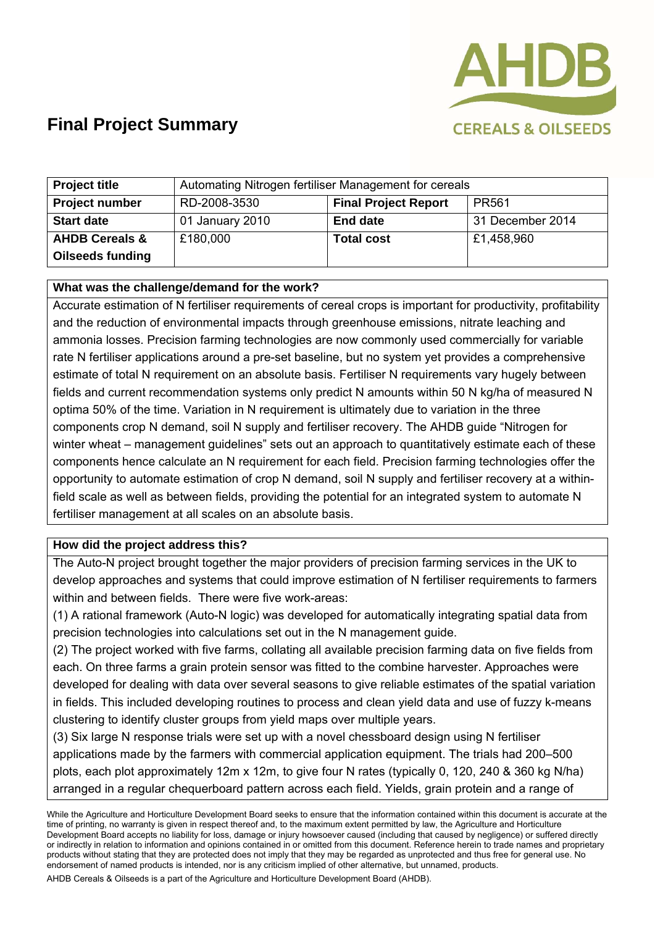

| <b>Project title</b>      | Automating Nitrogen fertiliser Management for cereals |                             |                   |
|---------------------------|-------------------------------------------------------|-----------------------------|-------------------|
| <b>Project number</b>     | RD-2008-3530                                          | <b>Final Project Report</b> | PR <sub>561</sub> |
| <b>Start date</b>         | 01 January 2010                                       | <b>End date</b>             | 31 December 2014  |
| <b>AHDB Cereals &amp;</b> | £180,000                                              | <b>Total cost</b>           | £1,458,960        |
| <b>Oilseeds funding</b>   |                                                       |                             |                   |

#### **What was the challenge/demand for the work?**

Accurate estimation of N fertiliser requirements of cereal crops is important for productivity, profitability and the reduction of environmental impacts through greenhouse emissions, nitrate leaching and ammonia losses. Precision farming technologies are now commonly used commercially for variable rate N fertiliser applications around a pre-set baseline, but no system yet provides a comprehensive estimate of total N requirement on an absolute basis. Fertiliser N requirements vary hugely between fields and current recommendation systems only predict N amounts within 50 N kg/ha of measured N optima 50% of the time. Variation in N requirement is ultimately due to variation in the three components crop N demand, soil N supply and fertiliser recovery. The AHDB guide "Nitrogen for winter wheat – management guidelines" sets out an approach to quantitatively estimate each of these components hence calculate an N requirement for each field. Precision farming technologies offer the opportunity to automate estimation of crop N demand, soil N supply and fertiliser recovery at a withinfield scale as well as between fields, providing the potential for an integrated system to automate N fertiliser management at all scales on an absolute basis.

#### **How did the project address this?**

The Auto-N project brought together the major providers of precision farming services in the UK to develop approaches and systems that could improve estimation of N fertiliser requirements to farmers within and between fields. There were five work-areas:

(1) A rational framework (Auto-N logic) was developed for automatically integrating spatial data from precision technologies into calculations set out in the N management guide.

(2) The project worked with five farms, collating all available precision farming data on five fields from each. On three farms a grain protein sensor was fitted to the combine harvester. Approaches were developed for dealing with data over several seasons to give reliable estimates of the spatial variation in fields. This included developing routines to process and clean yield data and use of fuzzy k-means clustering to identify cluster groups from yield maps over multiple years.

(3) Six large N response trials were set up with a novel chessboard design using N fertiliser applications made by the farmers with commercial application equipment. The trials had 200–500 plots, each plot approximately 12m x 12m, to give four N rates (typically 0, 120, 240 & 360 kg N/ha) arranged in a regular chequerboard pattern across each field. Yields, grain protein and a range of

While the Agriculture and Horticulture Development Board seeks to ensure that the information contained within this document is accurate at the time of printing, no warranty is given in respect thereof and, to the maximum extent permitted by law, the Agriculture and Horticulture Development Board accepts no liability for loss, damage or injury howsoever caused (including that caused by negligence) or suffered directly or indirectly in relation to information and opinions contained in or omitted from this document. Reference herein to trade names and proprietary products without stating that they are protected does not imply that they may be regarded as unprotected and thus free for general use. No endorsement of named products is intended, nor is any criticism implied of other alternative, but unnamed, products.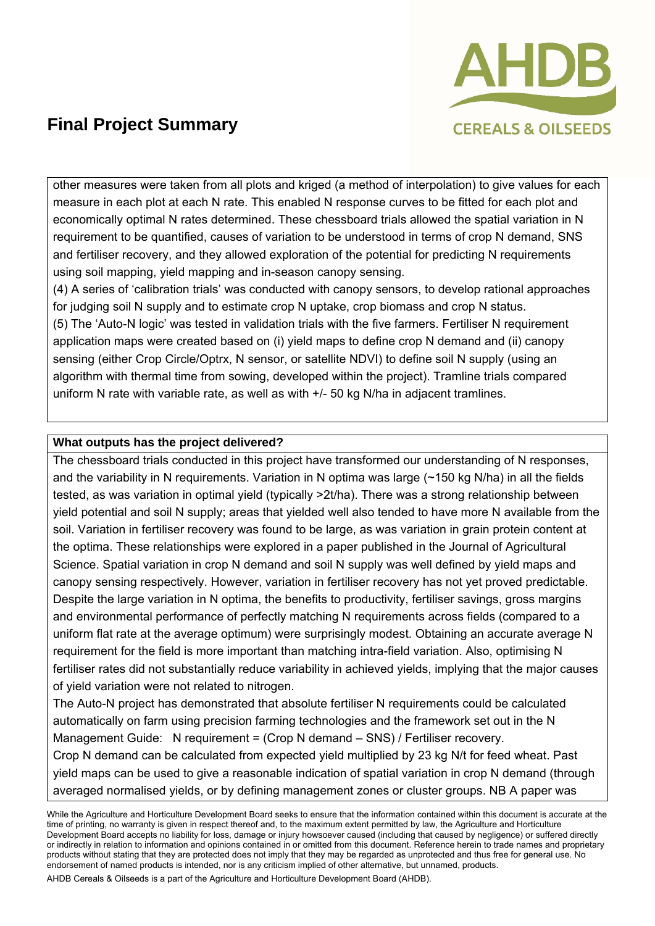

other measures were taken from all plots and kriged (a method of interpolation) to give values for each measure in each plot at each N rate. This enabled N response curves to be fitted for each plot and economically optimal N rates determined. These chessboard trials allowed the spatial variation in N requirement to be quantified, causes of variation to be understood in terms of crop N demand, SNS and fertiliser recovery, and they allowed exploration of the potential for predicting N requirements using soil mapping, yield mapping and in-season canopy sensing.

(4) A series of 'calibration trials' was conducted with canopy sensors, to develop rational approaches for judging soil N supply and to estimate crop N uptake, crop biomass and crop N status. (5) The 'Auto-N logic' was tested in validation trials with the five farmers. Fertiliser N requirement application maps were created based on (i) yield maps to define crop N demand and (ii) canopy sensing (either Crop Circle/Optrx, N sensor, or satellite NDVI) to define soil N supply (using an algorithm with thermal time from sowing, developed within the project). Tramline trials compared uniform N rate with variable rate, as well as with +/- 50 kg N/ha in adjacent tramlines.

#### **What outputs has the project delivered?**

The chessboard trials conducted in this project have transformed our understanding of N responses, and the variability in N requirements. Variation in N optima was large (~150 kg N/ha) in all the fields tested, as was variation in optimal yield (typically >2t/ha). There was a strong relationship between yield potential and soil N supply; areas that yielded well also tended to have more N available from the soil. Variation in fertiliser recovery was found to be large, as was variation in grain protein content at the optima. These relationships were explored in a paper published in the Journal of Agricultural Science. Spatial variation in crop N demand and soil N supply was well defined by yield maps and canopy sensing respectively. However, variation in fertiliser recovery has not yet proved predictable. Despite the large variation in N optima, the benefits to productivity, fertiliser savings, gross margins and environmental performance of perfectly matching N requirements across fields (compared to a uniform flat rate at the average optimum) were surprisingly modest. Obtaining an accurate average N requirement for the field is more important than matching intra-field variation. Also, optimising N fertiliser rates did not substantially reduce variability in achieved yields, implying that the major causes of yield variation were not related to nitrogen.

The Auto-N project has demonstrated that absolute fertiliser N requirements could be calculated automatically on farm using precision farming technologies and the framework set out in the N Management Guide: N requirement = (Crop N demand – SNS) / Fertiliser recovery. Crop N demand can be calculated from expected yield multiplied by 23 kg N/t for feed wheat. Past yield maps can be used to give a reasonable indication of spatial variation in crop N demand (through averaged normalised yields, or by defining management zones or cluster groups. NB A paper was

While the Agriculture and Horticulture Development Board seeks to ensure that the information contained within this document is accurate at the time of printing, no warranty is given in respect thereof and, to the maximum extent permitted by law, the Agriculture and Horticulture Development Board accepts no liability for loss, damage or injury howsoever caused (including that caused by negligence) or suffered directly or indirectly in relation to information and opinions contained in or omitted from this document. Reference herein to trade names and proprietary products without stating that they are protected does not imply that they may be regarded as unprotected and thus free for general use. No endorsement of named products is intended, nor is any criticism implied of other alternative, but unnamed, products.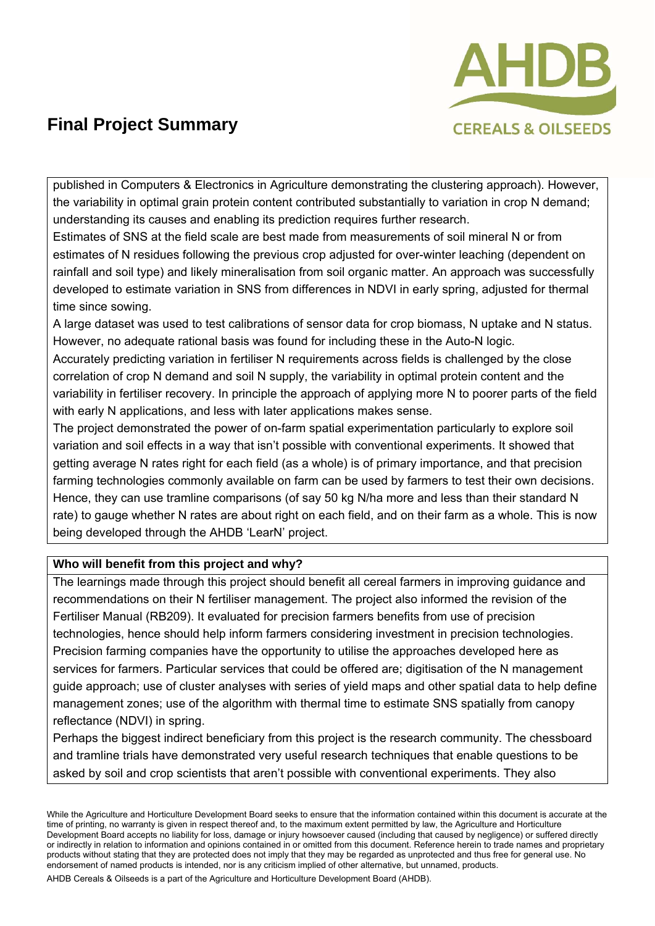

published in Computers & Electronics in Agriculture demonstrating the clustering approach). However, the variability in optimal grain protein content contributed substantially to variation in crop N demand; understanding its causes and enabling its prediction requires further research.

Estimates of SNS at the field scale are best made from measurements of soil mineral N or from estimates of N residues following the previous crop adjusted for over-winter leaching (dependent on rainfall and soil type) and likely mineralisation from soil organic matter. An approach was successfully developed to estimate variation in SNS from differences in NDVI in early spring, adjusted for thermal time since sowing.

A large dataset was used to test calibrations of sensor data for crop biomass, N uptake and N status. However, no adequate rational basis was found for including these in the Auto-N logic.

Accurately predicting variation in fertiliser N requirements across fields is challenged by the close correlation of crop N demand and soil N supply, the variability in optimal protein content and the variability in fertiliser recovery. In principle the approach of applying more N to poorer parts of the field with early N applications, and less with later applications makes sense.

The project demonstrated the power of on-farm spatial experimentation particularly to explore soil variation and soil effects in a way that isn't possible with conventional experiments. It showed that getting average N rates right for each field (as a whole) is of primary importance, and that precision farming technologies commonly available on farm can be used by farmers to test their own decisions. Hence, they can use tramline comparisons (of say 50 kg N/ha more and less than their standard N rate) to gauge whether N rates are about right on each field, and on their farm as a whole. This is now being developed through the AHDB 'LearN' project.

### **Who will benefit from this project and why?**

The learnings made through this project should benefit all cereal farmers in improving guidance and recommendations on their N fertiliser management. The project also informed the revision of the Fertiliser Manual (RB209). It evaluated for precision farmers benefits from use of precision technologies, hence should help inform farmers considering investment in precision technologies. Precision farming companies have the opportunity to utilise the approaches developed here as services for farmers. Particular services that could be offered are; digitisation of the N management guide approach; use of cluster analyses with series of yield maps and other spatial data to help define management zones; use of the algorithm with thermal time to estimate SNS spatially from canopy reflectance (NDVI) in spring.

Perhaps the biggest indirect beneficiary from this project is the research community. The chessboard and tramline trials have demonstrated very useful research techniques that enable questions to be asked by soil and crop scientists that aren't possible with conventional experiments. They also

While the Agriculture and Horticulture Development Board seeks to ensure that the information contained within this document is accurate at the time of printing, no warranty is given in respect thereof and, to the maximum extent permitted by law, the Agriculture and Horticulture Development Board accepts no liability for loss, damage or injury howsoever caused (including that caused by negligence) or suffered directly or indirectly in relation to information and opinions contained in or omitted from this document. Reference herein to trade names and proprietary products without stating that they are protected does not imply that they may be regarded as unprotected and thus free for general use. No endorsement of named products is intended, nor is any criticism implied of other alternative, but unnamed, products.